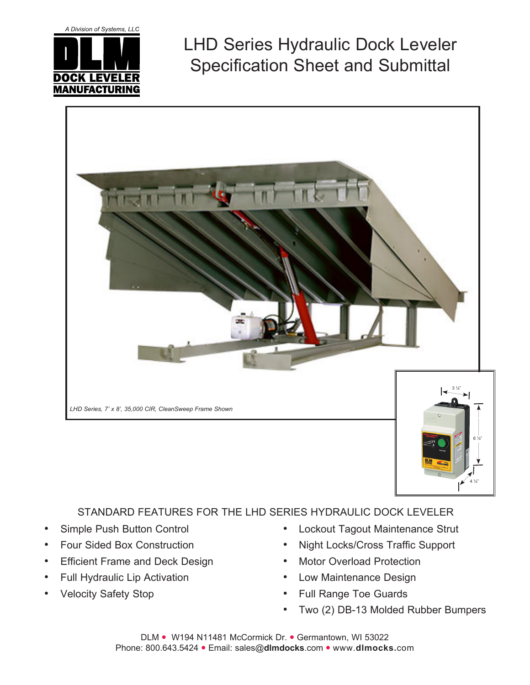A Division of Systems, LLC



LHD Series Hydraulic Dock Leveler Specification Sheet and Submittal



## STANDARD FEATURES FOR THE LHD SERIES HYDRAULIC DOCK LEVELER

- Simple Push Button Control
- Four Sided Box Construction
- **Efficient Frame and Deck Design**
- Full Hydraulic Lip Activation
- **Velocity Safety Stop**

Lockout Tagout Maintenance Strut

4 ¼"

- Night Locks/Cross Traffic Support
- Motor Overload Protection
- Low Maintenance Design
- **Full Range Toe Guards**
- Two (2) DB-13 Molded Rubber Bumpers